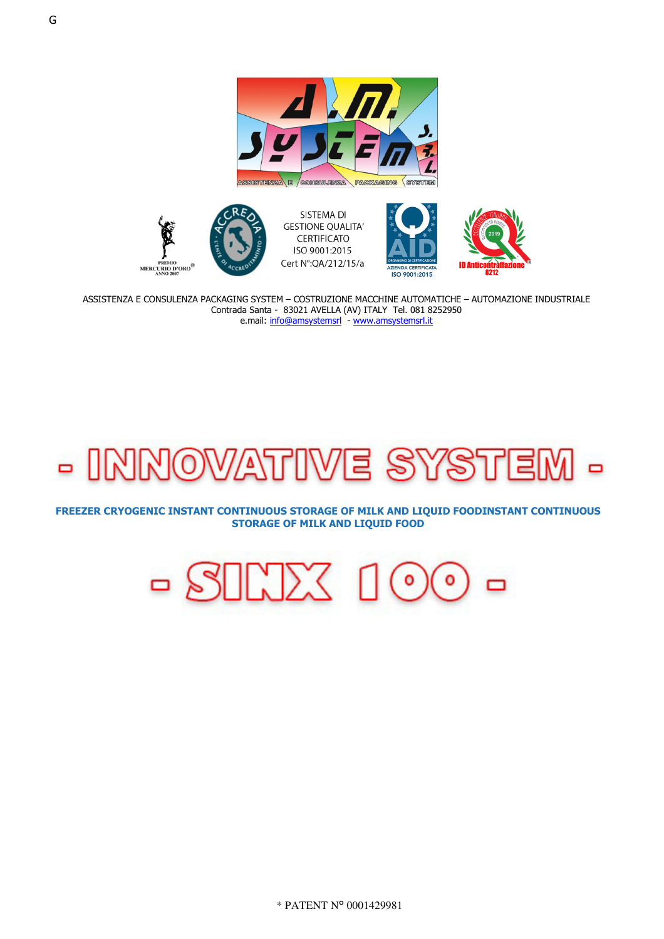



SISTEMA DI **GESTIONE QUALITA' CERTIFICATO** ISO 9001:2015 Cert N°: QA/212/15/a





ASSISTENZA E CONSULENZA PACKAGING SYSTEM - COSTRUZIONE MACCHINE AUTOMATICHE - AUTOMAZIONE INDUSTRIALE Contrada Santa - 83021 AVELLA (AV) ITALY Tel. 081 8252950 e.mail: info@amsystemsrl - www.amsystemsrl.it

## lź o ه ا

FREEZER CRYOGENIC INSTANT CONTINUOUS STORAGE OF MILK AND LIQUID FOODINSTANT CONTINUOUS **STORAGE OF MILK AND LIQUID FOOD** 

> $\langle | \rangle$  $\Box$ ō  $\bullet$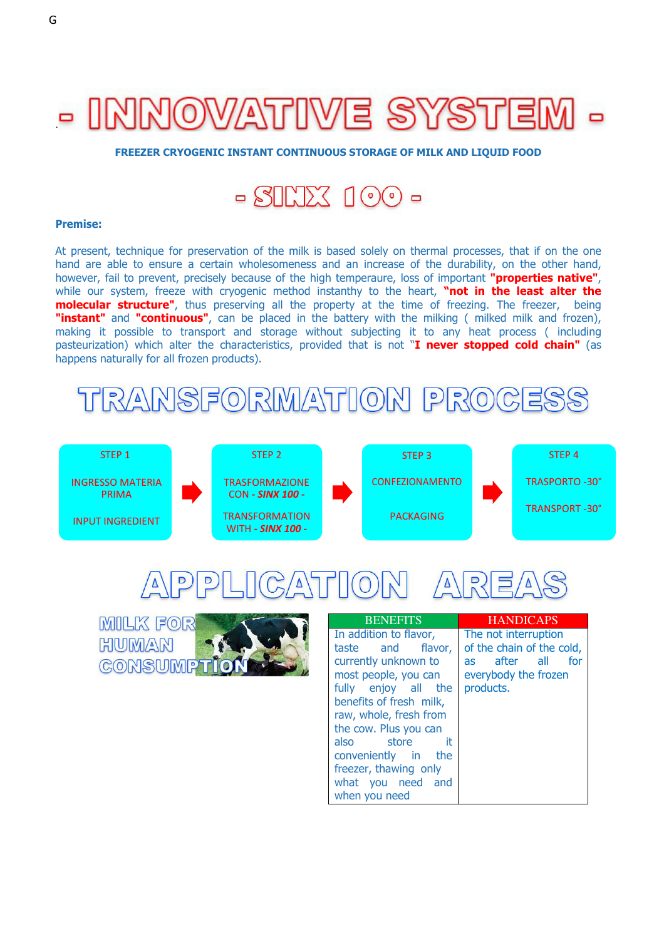## - INNOWATIWE SYSTE

**FREEZER CRYOGENIC INSTANT CONTINUOUS STORAGE OF MILK AND LIQUID FOOD**



## **Premise:**

At present, technique for preservation of the milk is based solely on thermal processes, that if on the one hand are able to ensure a certain wholesomeness and an increase of the durability, on the other hand, however, fail to prevent, precisely because of the high temperaure, loss of important **"properties native"**, while our system, freeze with cryogenic method instanthy to the heart, **"not in the least alter the molecular structure"**, thus preserving all the property at the time of freezing. The freezer, being "**instant"** and "continuous", can be placed in the battery with the milking ( milked milk and frozen), making it possible to transport and storage without subjecting it to any heat process ( including pasteurization) which alter the characteristics, provided that is not "**I never stopped cold chain"** (as happens naturally for all frozen products).







| <b>BENEFITS</b>         | <b>HANDICAPS</b>          |
|-------------------------|---------------------------|
| In addition to flavor,  | The not interruption      |
| taste and flavor,       | of the chain of the cold, |
| currently unknown to    | after all<br>for<br>as a  |
| most people, you can    | everybody the frozen      |
| fully enjoy all the     | products.                 |
| benefits of fresh milk, |                           |
| raw, whole, fresh from  |                           |
| the cow. Plus you can   |                           |
| it.<br>also<br>store    |                           |
| conveniently in the     |                           |
| freezer, thawing only   |                           |
| what you need and       |                           |
| when you need           |                           |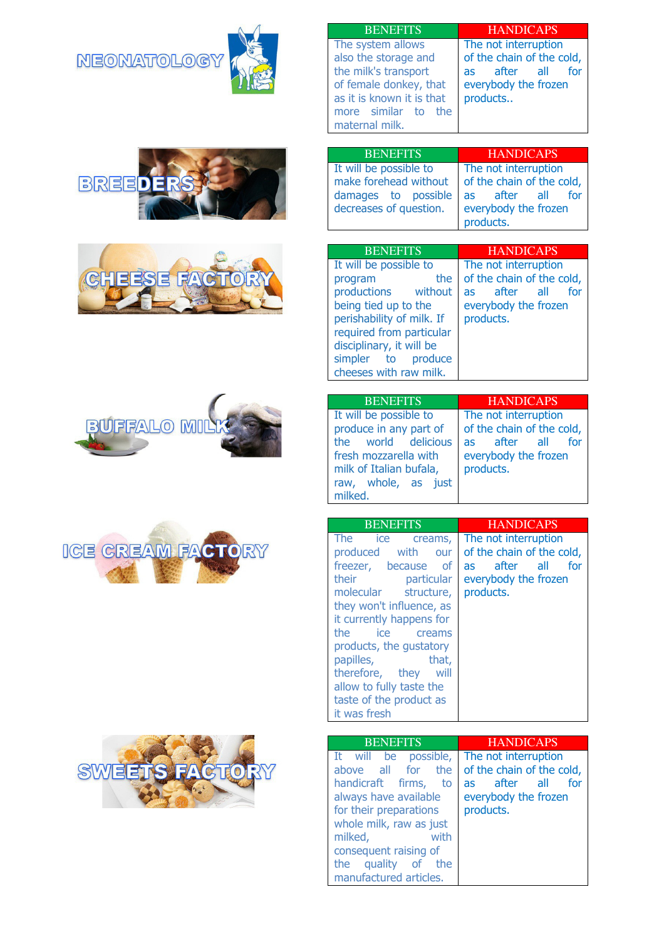**NEONATOLOGY** 













| BENEFTIS                  |  |  |
|---------------------------|--|--|
| The system allows         |  |  |
| also the storage and      |  |  |
| the milk's transport      |  |  |
| of female donkey, that    |  |  |
| as it is known it is that |  |  |
| more similar to the       |  |  |
| maternal milk.            |  |  |

**HANDICAPS** The not interruption of the chain of the cold, as after all for everybody the frozen products..

| <b>BENEFITS</b>        | <b>HANDICAPS</b>          |
|------------------------|---------------------------|
| It will be possible to | The not interruption      |
| make forehead without  | of the chain of the cold, |
| damages to possible    | as after all<br>for       |
| decreases of question. | everybody the frozen      |
|                        | products.                 |

| <b>BENEFITS</b>           | <b>HANDICAPS</b>          |
|---------------------------|---------------------------|
| It will be possible to    | The not interruption      |
| the<br>program            | of the chain of the cold, |
| productions without       | after all<br>for<br>as    |
| being tied up to the      | everybody the frozen      |
| perishability of milk. If | products.                 |
| required from particular  |                           |
| disciplinary, it will be  |                           |
| simpler to produce        |                           |
| cheeses with raw milk.    |                           |

| <b>BENEFITS</b>                                                                                                                                               | <b>HANDICAPS</b>                                                                                              |
|---------------------------------------------------------------------------------------------------------------------------------------------------------------|---------------------------------------------------------------------------------------------------------------|
| It will be possible to<br>produce in any part of<br>the world delicious<br>fresh mozzarella with<br>milk of Italian bufala,<br>raw, whole, as just<br>milked. | The not interruption<br>of the chain of the cold,<br>as after all<br>for<br>everybody the frozen<br>products. |

| <b>BENEFITS</b>               | <b>HANDICAPS</b>              |
|-------------------------------|-------------------------------|
| The<br>ice<br>creams,         | The not interruption          |
| with<br>produced<br>our       | of the chain of the cold,     |
| freezer, because<br><b>of</b> | all all<br>after<br>for<br>as |
| their<br>particular           | everybody the frozen          |
| molecular<br>structure,       | products.                     |
| they won't influence, as      |                               |
| it currently happens for      |                               |
| the<br>ice<br>creams          |                               |
| products, the qustatory       |                               |
| papilles,<br>that,            |                               |
| therefore, they<br>will       |                               |
| allow to fully taste the      |                               |
| taste of the product as       |                               |
| it was fresh                  |                               |

| <b>BENEFITS</b>                                                                                                                                                                                                                                | <b>HANDICAPS</b>                                                                                              |
|------------------------------------------------------------------------------------------------------------------------------------------------------------------------------------------------------------------------------------------------|---------------------------------------------------------------------------------------------------------------|
| It will be possible,<br>above all for the<br>handicraft firms,<br>to<br>always have available<br>for their preparations<br>whole milk, raw as just<br>with<br>milked,<br>consequent raising of<br>the quality of the<br>manufactured articles. | The not interruption<br>of the chain of the cold,<br>as after all<br>for<br>everybody the frozen<br>products. |